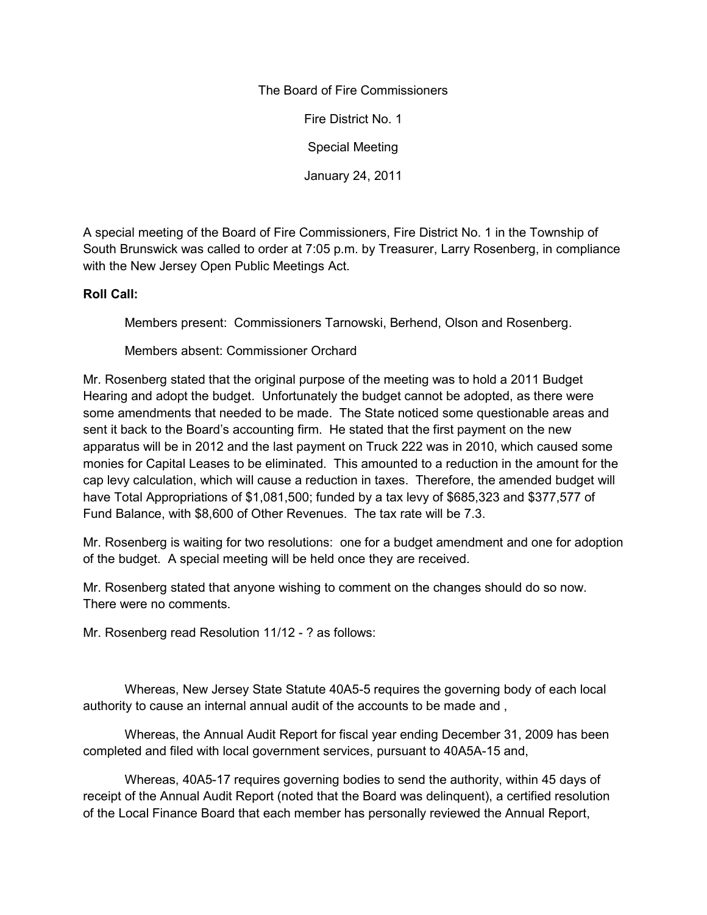The Board of Fire Commissioners

Fire District No. 1

Special Meeting

January 24, 2011

A special meeting of the Board of Fire Commissioners, Fire District No. 1 in the Township of South Brunswick was called to order at 7:05 p.m. by Treasurer, Larry Rosenberg, in compliance with the New Jersey Open Public Meetings Act.

## **Roll Call:**

Members present: Commissioners Tarnowski, Berhend, Olson and Rosenberg.

Members absent: Commissioner Orchard

Mr. Rosenberg stated that the original purpose of the meeting was to hold a 2011 Budget Hearing and adopt the budget. Unfortunately the budget cannot be adopted, as there were some amendments that needed to be made. The State noticed some questionable areas and sent it back to the Board's accounting firm. He stated that the first payment on the new apparatus will be in 2012 and the last payment on Truck 222 was in 2010, which caused some monies for Capital Leases to be eliminated. This amounted to a reduction in the amount for the cap levy calculation, which will cause a reduction in taxes. Therefore, the amended budget will have Total Appropriations of \$1,081,500; funded by a tax levy of \$685,323 and \$377,577 of Fund Balance, with \$8,600 of Other Revenues. The tax rate will be 7.3.

Mr. Rosenberg is waiting for two resolutions: one for a budget amendment and one for adoption of the budget. A special meeting will be held once they are received.

Mr. Rosenberg stated that anyone wishing to comment on the changes should do so now. There were no comments.

Mr. Rosenberg read Resolution 11/12 - ? as follows:

Whereas, New Jersey State Statute 40A5-5 requires the governing body of each local authority to cause an internal annual audit of the accounts to be made and ,

Whereas, the Annual Audit Report for fiscal year ending December 31, 2009 has been completed and filed with local government services, pursuant to 40A5A-15 and,

Whereas, 40A5-17 requires governing bodies to send the authority, within 45 days of receipt of the Annual Audit Report (noted that the Board was delinquent), a certified resolution of the Local Finance Board that each member has personally reviewed the Annual Report,